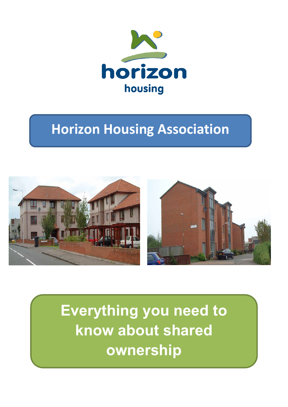

# **Horizon Housing Association**



**Everything you need to know about shared ownership**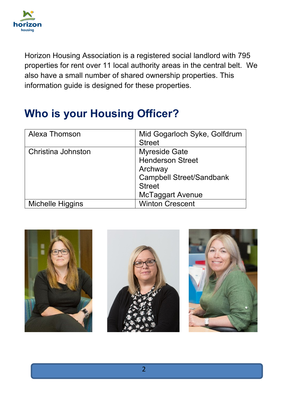

Horizon Housing Association is a registered social landlord with 795 properties for rent over 11 local authority areas in the central belt. We also have a small number of shared ownership properties. This information guide is designed for these properties.

## **Who is your Housing Officer?**

| Alexa Thomson      | Mid Gogarloch Syke, Golfdrum<br><b>Street</b> |
|--------------------|-----------------------------------------------|
|                    |                                               |
| Christina Johnston | <b>Myreside Gate</b>                          |
|                    | <b>Henderson Street</b>                       |
|                    | Archway                                       |
|                    | <b>Campbell Street/Sandbank</b>               |
|                    | <b>Street</b>                                 |
|                    | McTaggart Avenue                              |
| Michelle Higgins   | <b>Winton Crescent</b>                        |





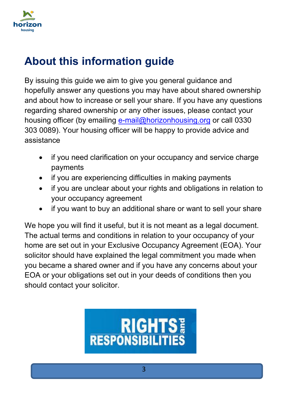

## **About this information guide**

By issuing this guide we aim to give you general guidance and hopefully answer any questions you may have about shared ownership and about how to increase or sell your share. If you have any questions regarding shared ownership or any other issues, please contact your housing officer (by emailing [e-mail@horizonhousing.org](mailto:e-mail@horizonhousing.org) or call 0330 303 0089). Your housing officer will be happy to provide advice and assistance

- if you need clarification on your occupancy and service charge payments
- if you are experiencing difficulties in making payments
- if you are unclear about your rights and obligations in relation to your occupancy agreement
- if you want to buy an additional share or want to sell your share

We hope you will find it useful, but it is not meant as a legal document. The actual terms and conditions in relation to your occupancy of your home are set out in your Exclusive Occupancy Agreement (EOA). Your solicitor should have explained the legal commitment you made when you became a shared owner and if you have any concerns about your EOA or your obligations set out in your deeds of conditions then you should contact your solicitor.

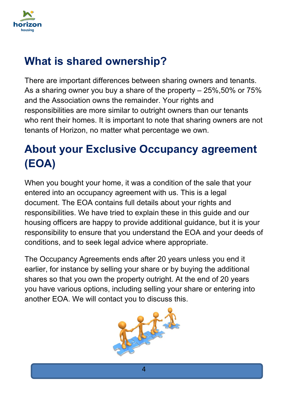

## **What is shared ownership?**

There are important differences between sharing owners and tenants. As a sharing owner you buy a share of the property – 25%,50% or 75% and the Association owns the remainder. Your rights and responsibilities are more similar to outright owners than our tenants who rent their homes. It is important to note that sharing owners are not tenants of Horizon, no matter what percentage we own.

## **About your Exclusive Occupancy agreement (EOA)**

When you bought your home, it was a condition of the sale that your entered into an occupancy agreement with us. This is a legal document. The EOA contains full details about your rights and responsibilities. We have tried to explain these in this guide and our housing officers are happy to provide additional guidance, but it is your responsibility to ensure that you understand the EOA and your deeds of conditions, and to seek legal advice where appropriate.

The Occupancy Agreements ends after 20 years unless you end it earlier, for instance by selling your share or by buying the additional shares so that you own the property outright. At the end of 20 years you have various options, including selling your share or entering into another EOA. We will contact you to discuss this.

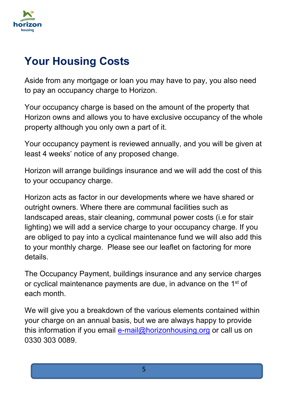

## **Your Housing Costs**

Aside from any mortgage or loan you may have to pay, you also need to pay an occupancy charge to Horizon.

Your occupancy charge is based on the amount of the property that Horizon owns and allows you to have exclusive occupancy of the whole property although you only own a part of it.

Your occupancy payment is reviewed annually, and you will be given at least 4 weeks' notice of any proposed change.

Horizon will arrange buildings insurance and we will add the cost of this to your occupancy charge.

Horizon acts as factor in our developments where we have shared or outright owners. Where there are communal facilities such as landscaped areas, stair cleaning, communal power costs (i.e for stair lighting) we will add a service charge to your occupancy charge. If you are obliged to pay into a cyclical maintenance fund we will also add this to your monthly charge. Please see our leaflet on factoring for more details.

The Occupancy Payment, buildings insurance and any service charges or cyclical maintenance payments are due, in advance on the 1st of each month.

We will give you a breakdown of the various elements contained within your charge on an annual basis, but we are always happy to provide this information if you email [e-mail@horizonhousing.org](mailto:e-mail@horizonhousing.org) or call us on 0330 303 0089.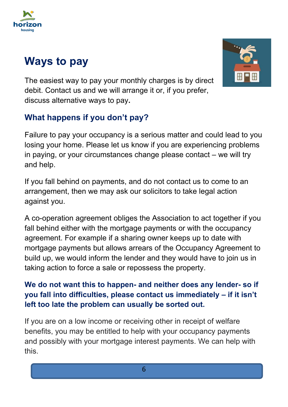

## **Ways to pay**

The easiest way to pay your monthly charges is by direct debit. Contact us and we will arrange it or, if you prefer, discuss alternative ways to pay**.** 



Failure to pay your occupancy is a serious matter and could lead to you losing your home. Please let us know if you are experiencing problems in paying, or your circumstances change please contact – we will try and help.

If you fall behind on payments, and do not contact us to come to an arrangement, then we may ask our solicitors to take legal action against you.

A co-operation agreement obliges the Association to act together if you fall behind either with the mortgage payments or with the occupancy agreement. For example if a sharing owner keeps up to date with mortgage payments but allows arrears of the Occupancy Agreement to build up, we would inform the lender and they would have to join us in taking action to force a sale or repossess the property.

#### **We do not want this to happen- and neither does any lender- so if you fall into difficulties, please contact us immediately – if it isn't left too late the problem can usually be sorted out.**

If you are on a low income or receiving other in receipt of welfare benefits, you may be entitled to help with your occupancy payments and possibly with your mortgage interest payments. We can help with this.

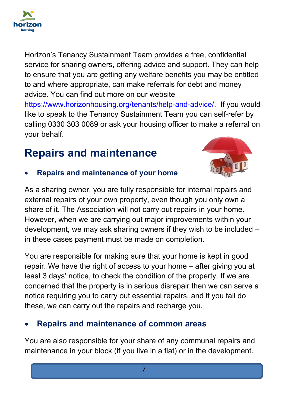

Horizon's Tenancy Sustainment Team provides a free, confidential service for sharing owners, offering advice and support. They can help to ensure that you are getting any welfare benefits you may be entitled to and where appropriate, can make referrals for debt and money advice. You can find out more on our website [https://www.horizonhousing.org/tenants/help-and-advice/.](https://www.horizonhousing.org/tenants/help-and-advice/) If you would like to speak to the Tenancy Sustainment Team you can self-refer by calling 0330 303 0089 or ask your housing officer to make a referral on your behalf.

## **Repairs and maintenance**



#### • **Repairs and maintenance of your home**

As a sharing owner, you are fully responsible for internal repairs and external repairs of your own property, even though you only own a share of it. The Association will not carry out repairs in your home. However, when we are carrying out major improvements within your development, we may ask sharing owners if they wish to be included – in these cases payment must be made on completion.

You are responsible for making sure that your home is kept in good repair. We have the right of access to your home – after giving you at least 3 days' notice, to check the condition of the property. If we are concerned that the property is in serious disrepair then we can serve a notice requiring you to carry out essential repairs, and if you fail do these, we can carry out the repairs and recharge you.

#### • **Repairs and maintenance of common areas**

You are also responsible for your share of any communal repairs and maintenance in your block (if you live in a flat) or in the development.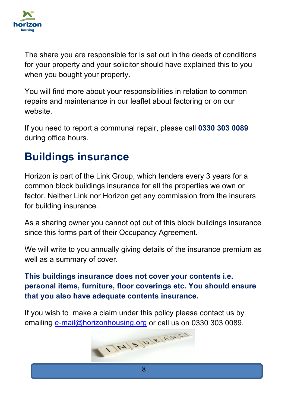

The share you are responsible for is set out in the deeds of conditions for your property and your solicitor should have explained this to you when you bought your property.

You will find more about your responsibilities in relation to common repairs and maintenance in our leaflet about factoring or on our website.

If you need to report a communal repair, please call **0330 303 0089** during office hours.

## **Buildings insurance**

Horizon is part of the Link Group, which tenders every 3 years for a common block buildings insurance for all the properties we own or factor. Neither Link nor Horizon get any commission from the insurers for building insurance.

As a sharing owner you cannot opt out of this block buildings insurance since this forms part of their Occupancy Agreement.

We will write to you annually giving details of the insurance premium as well as a summary of cover.

**This buildings insurance does not cover your contents i.e. personal items, furniture, floor coverings etc. You should ensure that you also have adequate contents insurance.** 

If you wish to make a claim under this policy please contact us by

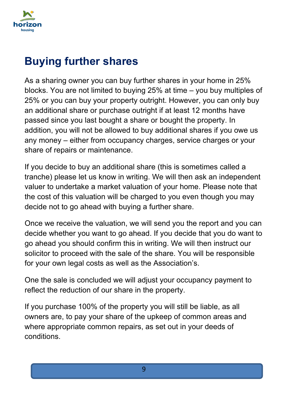

### **Buying further shares**

As a sharing owner you can buy further shares in your home in 25% blocks. You are not limited to buying 25% at time – you buy multiples of 25% or you can buy your property outright. However, you can only buy an additional share or purchase outright if at least 12 months have passed since you last bought a share or bought the property. In addition, you will not be allowed to buy additional shares if you owe us any money – either from occupancy charges, service charges or your share of repairs or maintenance.

If you decide to buy an additional share (this is sometimes called a tranche) please let us know in writing. We will then ask an independent valuer to undertake a market valuation of your home. Please note that the cost of this valuation will be charged to you even though you may decide not to go ahead with buying a further share.

Once we receive the valuation, we will send you the report and you can decide whether you want to go ahead. If you decide that you do want to go ahead you should confirm this in writing. We will then instruct our solicitor to proceed with the sale of the share. You will be responsible for your own legal costs as well as the Association's.

One the sale is concluded we will adjust your occupancy payment to reflect the reduction of our share in the property.

If you purchase 100% of the property you will still be liable, as all owners are, to pay your share of the upkeep of common areas and where appropriate common repairs, as set out in your deeds of conditions.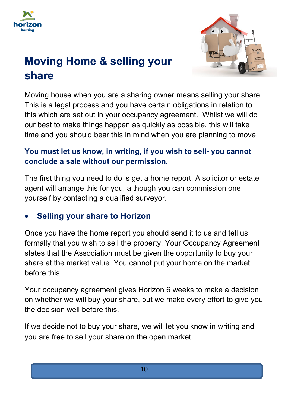



## **Moving Home & selling your share**

Moving house when you are a sharing owner means selling your share. This is a legal process and you have certain obligations in relation to this which are set out in your occupancy agreement. Whilst we will do our best to make things happen as quickly as possible, this will take time and you should bear this in mind when you are planning to move.

#### **You must let us know, in writing, if you wish to sell- you cannot conclude a sale without our permission.**

The first thing you need to do is get a home report. A solicitor or estate agent will arrange this for you, although you can commission one yourself by contacting a qualified surveyor.

#### • **Selling your share to Horizon**

Once you have the home report you should send it to us and tell us formally that you wish to sell the property. Your Occupancy Agreement states that the Association must be given the opportunity to buy your share at the market value. You cannot put your home on the market before this.

Your occupancy agreement gives Horizon 6 weeks to make a decision on whether we will buy your share, but we make every effort to give you the decision well before this.

If we decide not to buy your share, we will let you know in writing and you are free to sell your share on the open market.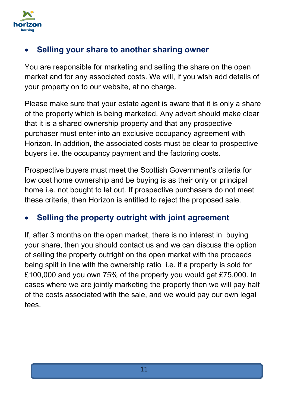

#### • **Selling your share to another sharing owner**

You are responsible for marketing and selling the share on the open market and for any associated costs. We will, if you wish add details of your property on to our website, at no charge.

Please make sure that your estate agent is aware that it is only a share of the property which is being marketed. Any advert should make clear that it is a shared ownership property and that any prospective purchaser must enter into an exclusive occupancy agreement with Horizon. In addition, the associated costs must be clear to prospective buyers i.e. the occupancy payment and the factoring costs.

Prospective buyers must meet the Scottish Government's criteria for low cost home ownership and be buying is as their only or principal home i.e. not bought to let out. If prospective purchasers do not meet these criteria, then Horizon is entitled to reject the proposed sale.

#### • **Selling the property outright with joint agreement**

If, after 3 months on the open market, there is no interest in buying your share, then you should contact us and we can discuss the option of selling the property outright on the open market with the proceeds being split in line with the ownership ratio i.e. if a property is sold for £100,000 and you own 75% of the property you would get £75,000. In cases where we are jointly marketing the property then we will pay half of the costs associated with the sale, and we would pay our own legal fees.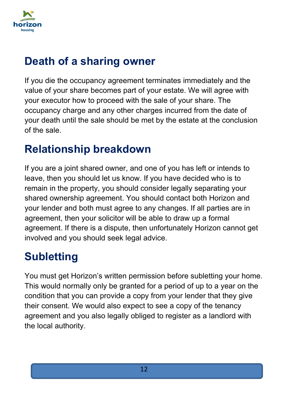

## **Death of a sharing owner**

If you die the occupancy agreement terminates immediately and the value of your share becomes part of your estate. We will agree with your executor how to proceed with the sale of your share. The occupancy charge and any other charges incurred from the date of your death until the sale should be met by the estate at the conclusion of the sale.

## **Relationship breakdown**

If you are a joint shared owner, and one of you has left or intends to leave, then you should let us know. If you have decided who is to remain in the property, you should consider legally separating your shared ownership agreement. You should contact both Horizon and your lender and both must agree to any changes. If all parties are in agreement, then your solicitor will be able to draw up a formal agreement. If there is a dispute, then unfortunately Horizon cannot get involved and you should seek legal advice.

## **Subletting**

You must get Horizon's written permission before subletting your home. This would normally only be granted for a period of up to a year on the condition that you can provide a copy from your lender that they give their consent. We would also expect to see a copy of the tenancy agreement and you also legally obliged to register as a landlord with the local authority.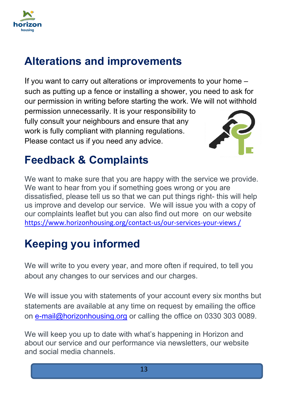

## **Alterations and improvements**

If you want to carry out alterations or improvements to your home – such as putting up a fence or installing a shower, you need to ask for our permission in writing before starting the work. We will not withhold

permission unnecessarily. It is your responsibility to fully consult your neighbours and ensure that any work is fully compliant with planning regulations. Please contact us if you need any advice.



## **Feedback & Complaints**

We want to make sure that you are happy with the service we provide. We want to hear from you if something goes wrong or you are dissatisfied, please tell us so that we can put things right- this will help us improve and develop our service. We will issue you with a copy of our complaints leaflet but you can also find out more on our website [https://www.horizonhousing.org/contact-us/our-services-your-views /](https://www.horizonhousing.org/contact-us/our-services-your-views%20/)

## **Keeping you informed**

We will write to you every year, and more often if required, to tell you about any changes to our services and our charges.

We will issue you with statements of your account every six months but statements are available at any time on request by emailing the office on [e-mail@horizonhousing.org](mailto:e-mail@horizonhousing.org) or calling the office on 0330 303 0089.

We will keep you up to date with what's happening in Horizon and about our service and our performance via newsletters, our website and social media channels.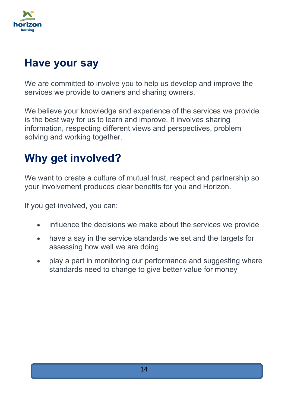

## **Have your say**

We are committed to involve you to help us develop and improve the services we provide to owners and sharing owners.

We believe your knowledge and experience of the services we provide is the best way for us to learn and improve. It involves sharing information, respecting different views and perspectives, problem solving and working together.

## **Why get involved?**

We want to create a culture of mutual trust, respect and partnership so your involvement produces clear benefits for you and Horizon.

If you get involved, you can:

- influence the decisions we make about the services we provide
- have a say in the service standards we set and the targets for assessing how well we are doing
- play a part in monitoring our performance and suggesting where standards need to change to give better value for money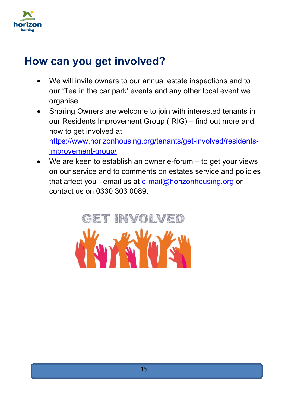

### **How can you get involved?**

- We will invite owners to our annual estate inspections and to our 'Tea in the car park' events and any other local event we organise.
- Sharing Owners are welcome to join with interested tenants in our Residents Improvement Group ( RIG) – find out more and how to get involved at [https://www.horizonhousing.org/tenants/get-involved/residents](https://www.horizonhousing.org/tenants/get-involved/residents-improvement-group/)[improvement-group/](https://www.horizonhousing.org/tenants/get-involved/residents-improvement-group/)
- We are keen to establish an owner e-forum to get your views on our service and to comments on estates service and policies that affect you - email us at [e-mail@horizonhousing.org](mailto:e-mail@horizonhousing.org) or contact us on 0330 303 0089.